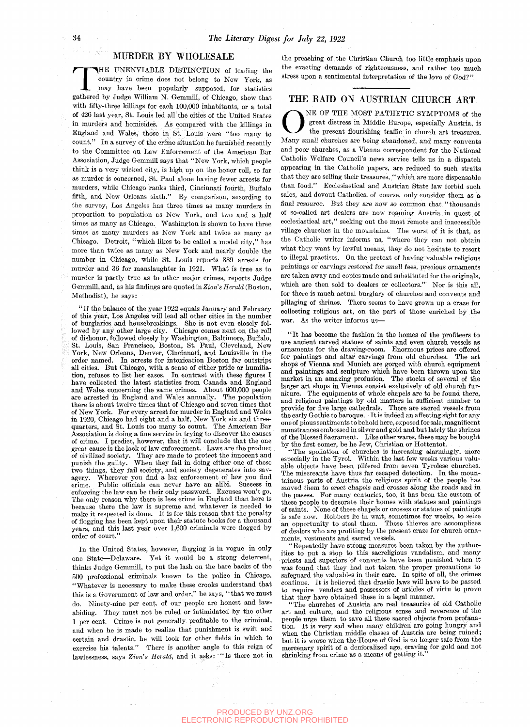### MURDER BY WHOLESALE

MURDER BY WHOLESALE<br>
THE UNENVIABLE DISTINCTION of leading the<br>
country in crime does not belong to New York, as<br>
may have been popularly supposed, for statistics<br>
gathered by Judge William N. Gemmill, of Chicago, show tha HE UNENVIABLE DISTINCTION of leading the country in crime does not belong to New York, as may have been popularly supposed, for statistics with fifty-three killings for each 100,000 inhabitants, or a total of 426 last year, St. Louis led all the cities of the United States in murders and homicides. As compared with the kiUings in England and Wales, those in St. Louis were "too many to count." In a survey of the crime situation he furnished recently to the Committee on Law Enforcement of the American Bar Association, Judge Gemmill says that "New York, which people think is a very wicked city, is high up on the honor roll, so far as murder is concerned, St. Paul alone having fewer arrests for murders, while Chicago ranks third, Cincinnati fourth, Buffalo fifth, and New Orleans sixth." By comparison, according to the survey, Los Angeles has three times as many murders in proportion to population as New York, and two and a half times as many as Chicago. Washington is shown to have three times as many murders as New York and twice as many as Chicago. Detroit, "which likes to be called a model city," has more than twice as many as New York and nearly double the number in Chicago, while St. Louis reports 389 arrests for murder and 36 for manslaughter in 1921. What is true as to murder is partly true as to other major crimes, reports Judge Gemmill, and, as his findings are quoted in *Zion's Herald* (Boston, Methodist), he says:

"If the balance of the year 1922 equals January and February of this year, Los Angeles will lead all other cities in the number of burglaries and housebreakings. She is not even closely followed by any other large city. Chicago comes next on the roll of dishonor, followed closely by Washington, Baltimore, Buffalo, St. Louis, San Francisco, Boston, St. Paul, Cleveland, New York, New Orleans, Denver, Cincinnati, and Louisville in the order named. In arrests for intoxication Boston far outstrips all cities. But Chicago, with a sense of either pride or humiliation, refuses to list her eases. In contrast with these figures I have collected the latest statistics from Canada and England and Wales concerning the same crimes. About 600,000 people are arrested in England and Wales annually. The population there is about twelve times that of Chicago and seven times that of New York. For every arrest for murder in England and Wales in 1920, Chicago had eight and a half. New York six and threequarters, and St. Louis too many to count. The American Bar Association is doing a fine service in trying to discover the causes of crime. I predict, however, that it will conclude that the one great cause is the lack of law enforcement. Laws are the product great cause is the fack of faw emotechnome. Laws are eno product punish the guilty. When they fail in doing either one of these two things, they fail society, and society degenerates into savagery. Wherever you find a lax enforcement of law you find crime. Public officials can never have an alibi. Success in enforcing the law can be their only password. Excuses won't go. The only reason why there is less crime in England than here is because there the law is supreme and whatever is needed to make it respected is done. It is for this reason that the penalty of flogging has been kept upon their statute books for a thousand years, and this last year over 1,600 criminals were flogged by years, ащи uпs<br>ander of court."

In the United States, however, flogging is in vogue in only one State—Delaware. Yet it would be a strong deterrent, thinks Judge Gemmill, to put the lash on the bare backs of the 500 professional criminals known to the police in Chicago. "Whatever is necessary to make these crooks understand that this is a Government of law and order," he says, "that we must do. Ninety-nine per cent, of our people are honest and lawabiding. They must not be ruled or intimidated by the other 1 per cent. Crime is not generally profitable to the criminal, and when he is made to realize that punishment is swift and certain and drastic, he will look for other fields in which to exercise his talents." There is another angle to this reign of lawlessness, says *Zion's Herald,* and it asks: "Is there not in the preaching of the Christian Church too little emphasis upon the exacting demands of righteousness, and rather too much stress upon a sentimental interpretation of the love of God?"

#### THE RAID ON AUSTRIAN CHURCH ART

ONE OF THE MOST PATHETIC SYMPTOMS of the great distress in Middle Europe, especially Austria, is the present flourishing traffic in church art treasures.<br>Many small churches are being abandoned, and many convents NE OP THE MOST PATHETIC SYMPTOMS of the great distress in Middle Europe, especially Austria, is the present flourishing traffic in church art treasures. and poor churches, as a Vienna correspondent for the National Catholic Welfare Council's news service tells us in a dispatch appearing in the Catholic papers, are reduced to such straits that they are selling their treasures, "which are more dispensable than food." Ecclesiastical and Austrian State law forbid such sales, and devout Catholics, of course, only consider them as a final resource. But they are now so common that "thousands of so-called art dealers are now roaming Austria, in quest of ecclesiastical art," seeking out the most remote and inaccessible village churches in the mountains. The worst of it is that, as the Catholic writer informs us, "where they can not obtain what they want by lawful means, they do not hesitate to resort to illegal practises. On the pretext of having valuable religious paintings or carvings restored for small fees, precious ornaments are taken away and copies made and substituted for the originals, which are then sold to dealers or collectors." Nor is this all, for there is much actual burglary of churches and convents and pillaging of shrines. There seems to have grown up a craze for collecting religious art, on the part of those enriched by the war. As the writer informs us—

" It has become the fashion in the homes of the profiteers to use ancient carved statues of saints and even church vessels as ornaments for the drawing-room. Enormous prices are offered for paintings and altar carvings from old churches. shops of Vienna and Munich are gorged with church equipment and paintings and sculpture which have been thrown upon the market in an amazing profusion. The stocks of several of the larger art shops in Vienna consist exclusively of old church furniture. The equipments of whole chapels are to be found there, and religious paintings by old masters in sufficient number to provide for five large cathedrals. There are sacred vessels from the early Gothic to baroque. It is indeed an affecting sight for any one of pious sentiments to behold here, exposed for sale, magnificent monstrances embossed in silver and gold and but lately the shrines of the Blessed Sacrament. Like other wares, these may be bought by the first comer, be he Jew, Christian or Hottentot.

"The spoliation of churches is increasing alarmingly, more especially in the Tyrol. Within the last few weeks various valuable objects have been pilfered from seven Tyrolese churches. The miscreants have thus far escaped detection. In the mountainous parts of Austria the religious spirit of the people has moved them to erect chapels and crosses along the roads and in the passes. For many centuries, too, it has been the custom of these people to decorate their homes with statues and paintings of saints. None of these chapels or crosses or statues of paintings is safe now. Robbers lie in wait, sometimes for weeks, to seize an opportunity to steal them. These thieves are accomplices of dealers who are profiting by the present craze for church ornaments, vestments and sacred vessels.

"Repeatedly have strong measures been taken by the authorities to put a stop to this sacreligious vandalism, and many priests and superiors of convents have been punished when it was found that they had not taken the proper precautions to safeguard the valuables in their care. In spite of all, the crimes continue. It is believed that drastic laws will have to be passed to require venders and possessors of articles of virtu to prove that they have obtained these in a legal manner.

"The churches of Austria are real treasuries of old Catholic art and culture, and the rehgious sense and reverence of the people urge them to save all these sacred objects from profanation. It is very sad when many children are going hungry and when the Christian middle classes of Austria are being ruined; but it is worse when the-House of God is no longer safe from the mercenary spirit of a dem'orahzed age, craving for gold and not shrinking from crime as a means of getting it.